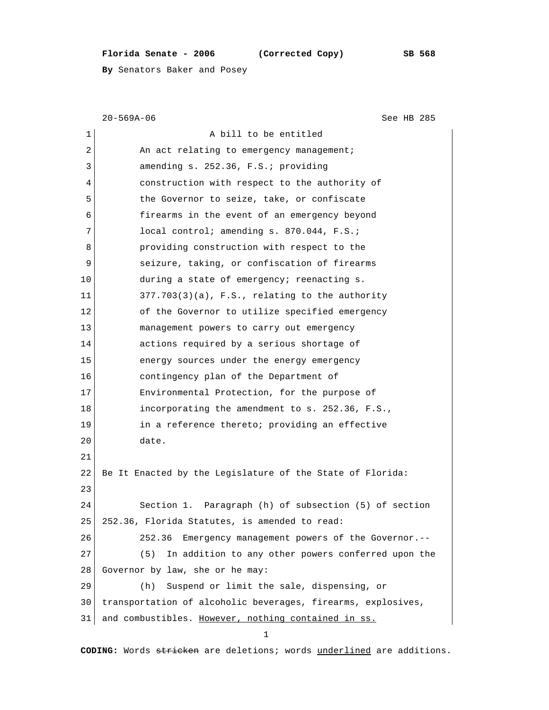## **Florida Senate - 2006 (Corrected Copy) SB 568**

**By** Senators Baker and Posey

|    | $20 - 569A - 06$<br>See HB 285                               |  |  |  |  |  |
|----|--------------------------------------------------------------|--|--|--|--|--|
| 1  | A bill to be entitled                                        |  |  |  |  |  |
| 2  | An act relating to emergency management;                     |  |  |  |  |  |
| 3  | amending s. 252.36, F.S.; providing                          |  |  |  |  |  |
| 4  | construction with respect to the authority of                |  |  |  |  |  |
| 5  | the Governor to seize, take, or confiscate                   |  |  |  |  |  |
| 6  | firearms in the event of an emergency beyond                 |  |  |  |  |  |
| 7  | local control; amending s. 870.044, F.S.;                    |  |  |  |  |  |
| 8  | providing construction with respect to the                   |  |  |  |  |  |
| 9  | seizure, taking, or confiscation of firearms                 |  |  |  |  |  |
| 10 | during a state of emergency; reenacting s.                   |  |  |  |  |  |
| 11 | $377.703(3)(a)$ , F.S., relating to the authority            |  |  |  |  |  |
| 12 | of the Governor to utilize specified emergency               |  |  |  |  |  |
| 13 | management powers to carry out emergency                     |  |  |  |  |  |
| 14 | actions required by a serious shortage of                    |  |  |  |  |  |
| 15 | energy sources under the energy emergency                    |  |  |  |  |  |
| 16 | contingency plan of the Department of                        |  |  |  |  |  |
| 17 | Environmental Protection, for the purpose of                 |  |  |  |  |  |
| 18 | incorporating the amendment to s. 252.36, F.S.,              |  |  |  |  |  |
| 19 | in a reference thereto; providing an effective               |  |  |  |  |  |
| 20 | date.                                                        |  |  |  |  |  |
| 21 |                                                              |  |  |  |  |  |
| 22 | Be It Enacted by the Legislature of the State of Florida:    |  |  |  |  |  |
| 23 |                                                              |  |  |  |  |  |
| 24 | Section 1. Paragraph (h) of subsection (5) of section        |  |  |  |  |  |
| 25 | 252.36, Florida Statutes, is amended to read:                |  |  |  |  |  |
| 26 | Emergency management powers of the Governor.--<br>252.36     |  |  |  |  |  |
| 27 | In addition to any other powers conferred upon the<br>(5)    |  |  |  |  |  |
| 28 | Governor by law, she or he may:                              |  |  |  |  |  |
| 29 | Suspend or limit the sale, dispensing, or<br>(h)             |  |  |  |  |  |
| 30 | transportation of alcoholic beverages, firearms, explosives, |  |  |  |  |  |
| 31 | and combustibles. However, nothing contained in ss.          |  |  |  |  |  |
|    | 1                                                            |  |  |  |  |  |

**CODING:** Words stricken are deletions; words underlined are additions.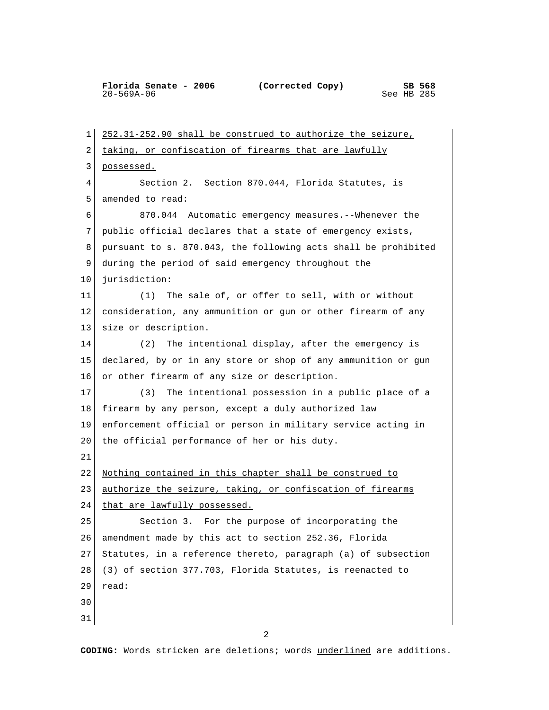**Florida Senate - 2006** (Corrected Copy) SB 568<br>20-569A-06 See HB 285  $20 - 569A - 06$ 

 1 252.31-252.90 shall be construed to authorize the seizure, 2 taking, or confiscation of firearms that are lawfully 3 possessed. 4 Section 2. Section 870.044, Florida Statutes, is 5 amended to read: 6 870.044 Automatic emergency measures.--Whenever the 7 public official declares that a state of emergency exists, 8 pursuant to s. 870.043, the following acts shall be prohibited 9 during the period of said emergency throughout the 10 jurisdiction: 11 (1) The sale of, or offer to sell, with or without 12 consideration, any ammunition or gun or other firearm of any 13 size or description. 14 (2) The intentional display, after the emergency is 15 declared, by or in any store or shop of any ammunition or gun 16 or other firearm of any size or description. 17 (3) The intentional possession in a public place of a 18 firearm by any person, except a duly authorized law 19 enforcement official or person in military service acting in 20 the official performance of her or his duty. 21 22 Nothing contained in this chapter shall be construed to 23 authorize the seizure, taking, or confiscation of firearms 24 that are lawfully possessed. 25 Section 3. For the purpose of incorporating the 26 amendment made by this act to section 252.36, Florida 27 Statutes, in a reference thereto, paragraph (a) of subsection 28 (3) of section 377.703, Florida Statutes, is reenacted to 29 read: 30 31

**CODING:** Words stricken are deletions; words underlined are additions.